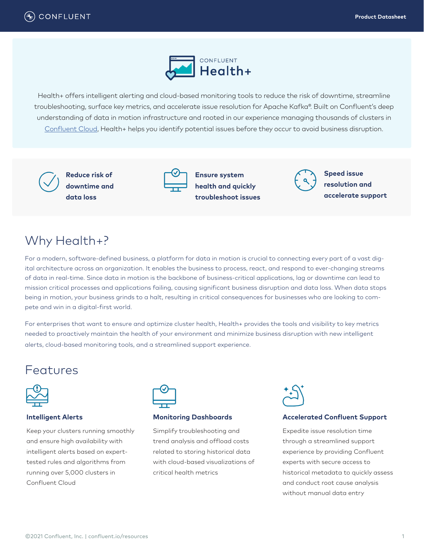

Health+ offers intelligent alerting and cloud-based monitoring tools to reduce the risk of downtime, streamline troubleshooting, surface key metrics, and accelerate issue resolution for Apache Kafka®. Built on Confluent's deep understanding of data in motion infrastructure and rooted in our experience managing thousands of clusters in [Confluent Cloud,](https://www.confluent.io/confluent-cloud) Health+ helps you identify potential issues before they occur to avoid business disruption.



**Reduce risk of downtime and data loss**



**Ensure system health and quickly troubleshoot issues**



**Speed issue resolution and accelerate support**

# Why Health+?

For a modern, software-defined business, a platform for data in motion is crucial to connecting every part of a vast digital architecture across an organization. It enables the business to process, react, and respond to ever-changing streams of data in real-time. Since data in motion is the backbone of business-critical applications, lag or downtime can lead to mission critical processes and applications failing, causing significant business disruption and data loss. When data stops being in motion, your business grinds to a halt, resulting in critical consequences for businesses who are looking to compete and win in a digital-first world.

For enterprises that want to ensure and optimize cluster health, Health+ provides the tools and visibility to key metrics needed to proactively maintain the health of your environment and minimize business disruption with new intelligent alerts, cloud-based monitoring tools, and a streamlined support experience.

# Features



## **Intelligent Alerts**

Keep your clusters running smoothly and ensure high availability with intelligent alerts based on experttested rules and algorithms from running over 5,000 clusters in Confluent Cloud



## **Monitoring Dashboards**

Simplify troubleshooting and trend analysis and offload costs related to storing historical data with cloud-based visualizations of critical health metrics



## **Accelerated Confluent Support**

Expedite issue resolution time through a streamlined support experience by providing Confluent experts with secure access to historical metadata to quickly assess and conduct root cause analysis without manual data entry